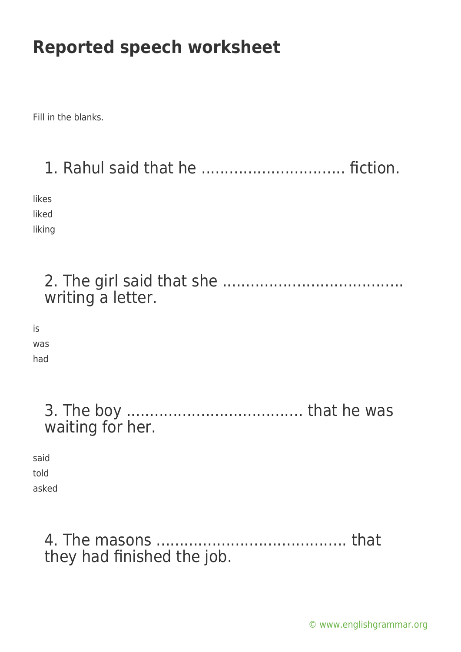Fill in the blanks.

## 1. Rahul said that he ............................... fiction.

likes liked liking

|                       | writing a letter. |
|-----------------------|-------------------|
| is<br>was<br>had      |                   |
|                       | waiting for her.  |
| said<br>told<br>asked |                   |

### 4. The masons ......................................... that they had finished the job.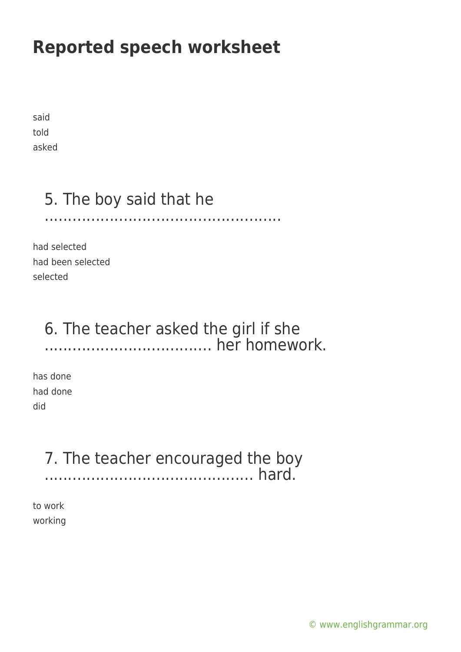said told asked

## 5. The boy said that he

...................................................

had selected had been selected selected

### 6. The teacher asked the girl if she .................................... her homework.

has done had done did

# 7. The teacher encouraged the boy

............................................. hard.

to work working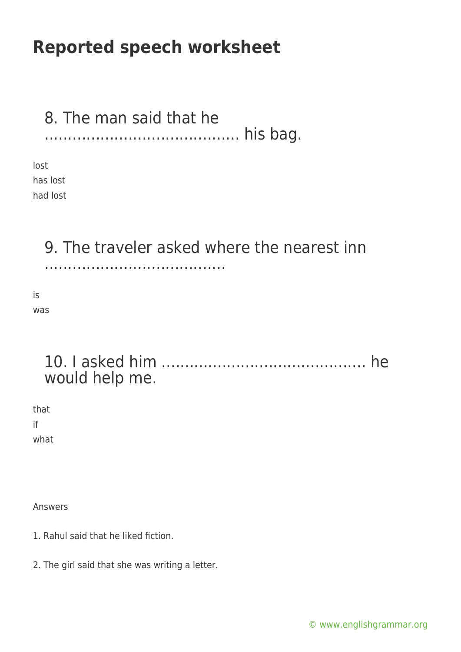#### 8. The man said that he .......................................... his bag.

lost has lost had lost

### 9. The traveler asked where the nearest inn

.......................................

is was

### 10. I asked him ............................................ he would help me.

that if

what

Answers

- 1. Rahul said that he liked fiction.
- 2. The girl said that she was writing a letter.